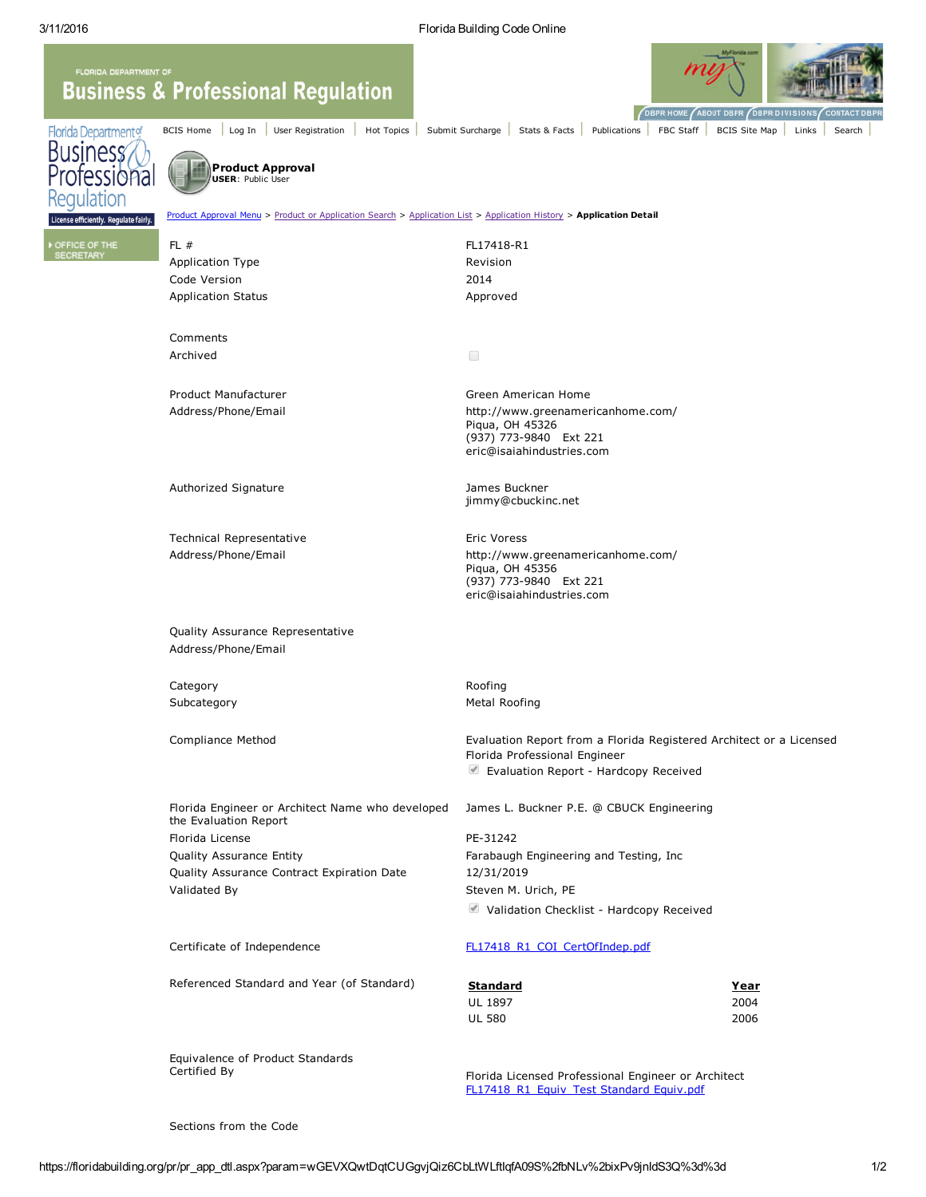BCIS [Home](https://floridabuilding.org/c/default.aspx) [Log](javascript:__doPostBack() In User [Registration](https://floridabuilding.org/c/c_user_regi.aspx) | Hot [Topics](https://floridabuilding.org/c/c_hottopics.aspx) | Submit [Surcharge](https://floridabuilding.org/sc/sc_default.aspx) | [Stats](https://floridabuilding.org/c/c_under_construction.aspx) & Facts | [Publications](https://floridabuilding.org/c/c_publications.aspx) | FBC [Staff](https://floridabuilding.org/c/c_about.aspx) | [BCIS](https://floridabuilding.org/c/c_under_construction.aspx) Site Map | [Links](https://floridabuilding.org/c/c_links.aspx) | [Search](https://floridabuilding.org/c/c_under_construction.aspx)

## **FLORIDA DEPARTME Business & Professional Regulation**



Florida Department of **Business** ofessional ilation

Product Approval USER: Public Use

e efficiently. Regulate fairly.

**ICE OF THE** 

Proval Menu > Product or [Application](https://floridabuilding.org/pr/pr_app_hist.aspx?param=wGEVXQwtDqtCUGgvjQiz6CbLtWLftIqfA09S%2fbNLv%2bixPv9jnIdS3Q%3d%3d) Search > Application List > Application History > Application Detail FL # FL17418-R1 Application Type **Revision** Revision Code Version 2014 Application Status **Application Status** Approved Comments Archived  $\Box$ Product Manufacturer Green American Home Address/Phone/Email http://www.greenamericanhome.com/ Piqua, OH 45326 (937) 773-9840 Ext 221 eric@isaiahindustries.com

Authorized Signature **Authorized Signature** Authorized Signature James Buckner

Technical Representative **Eric Voress** Address/Phone/Email http://www.greenamericanhome.com/

Quality Assurance Representative Address/Phone/Email

Category **Category Roofing** 

Piqua, OH 45356 (937) 773-9840 Ext 221 eric@isaiahindustries.com

jimmy@cbuckinc.net

Subcategory **Metal Roofing** 

Compliance Method Evaluation Report from a Florida Registered Architect or a Licensed Florida Professional Engineer **Evaluation Report - Hardcopy Received** 

Florida Engineer or Architect Name who developed the Evaluation Report Florida License **PE-31242** Quality Assurance Entity Farabaugh Engineering and Testing, Inc Quality Assurance Contract Expiration Date 12/31/2019 Validated By Steven M. Urich, PE

James L. Buckner P.E. @ CBUCK Engineering

■ Validation Checklist - Hardcopy Received

Certificate of Independence [FL17418\\_R1\\_COI\\_CertOfIndep.pdf](https://floridabuilding.org/upload/PR_Independence/FL17418_R1_COI_CertOfIndep.pdf)

Referenced Standard and Year (of Standard) Standard Standard Standard Vear UL 1897 2004 UL 580 2006

Equivalence of Product Standards Certified By

Florida Licensed Professional Engineer or Architect [FL17418\\_R1\\_Equiv\\_Test](https://floridabuilding.org/upload/PR_Stds_Equiv/FL17418_R1_Equiv_Test%20Standard%20Equiv.pdf) Standard Equiv.pdf

Sections from the Code